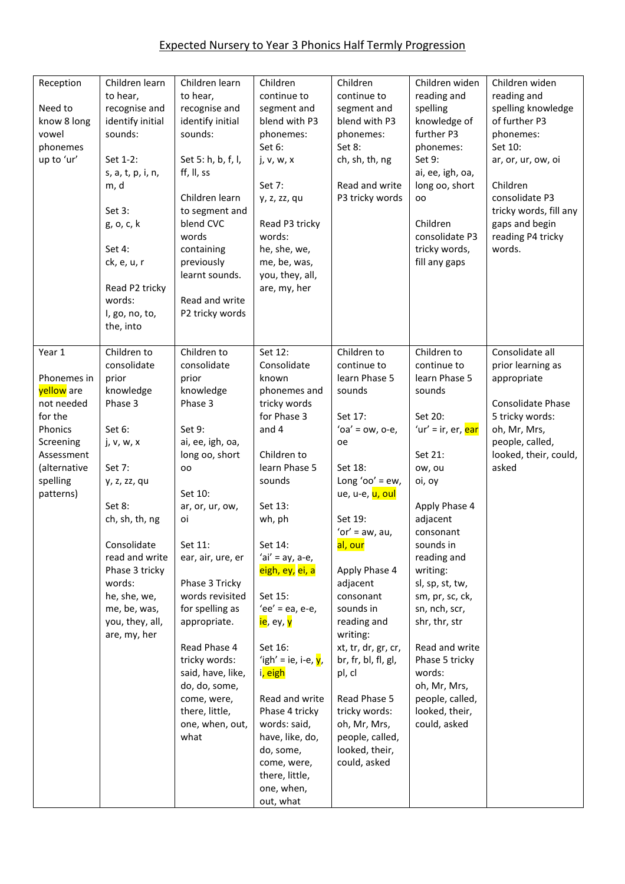| Reception<br>Need to<br>know 8 long<br>vowel<br>phonemes<br>up to 'ur'                                                                      | Children learn<br>to hear,<br>recognise and<br>identify initial<br>sounds:<br>Set 1-2:<br>s, a, t, p, i, n,<br>m, d<br>Set 3:<br>g, o, c, k<br>Set 4:<br>ck, e, u, r<br>Read P2 tricky<br>words:<br>I, go, no, to,<br>the, into                                           | Children learn<br>to hear,<br>recognise and<br>identify initial<br>sounds:<br>Set 5: h, b, f, l,<br>ff, II, ss<br>Children learn<br>to segment and<br>blend CVC<br>words<br>containing<br>previously<br>learnt sounds.<br>Read and write<br>P2 tricky words                                                                                                                                      | Children<br>continue to<br>segment and<br>blend with P3<br>phonemes:<br>Set 6:<br>j, v, w, x<br>Set 7:<br>y, z, zz, qu<br>Read P3 tricky<br>words:<br>he, she, we,<br>me, be, was,<br>you, they, all,<br>are, my, her                                                                                                                                                                                                                                                                          | Children<br>continue to<br>segment and<br>blend with P3<br>phonemes:<br>Set 8:<br>ch, sh, th, ng<br>Read and write<br>P3 tricky words                                                                                                                                                                                                                                                                                                               | Children widen<br>reading and<br>spelling<br>knowledge of<br>further P3<br>phonemes:<br>Set 9:<br>ai, ee, igh, oa,<br>long oo, short<br>OO<br>Children<br>consolidate P3<br>tricky words,<br>fill any gaps                                                                                                                                                                                         | Children widen<br>reading and<br>spelling knowledge<br>of further P3<br>phonemes:<br>Set 10:<br>ar, or, ur, ow, oi<br>Children<br>consolidate P3<br>tricky words, fill any<br>gaps and begin<br>reading P4 tricky<br>words. |
|---------------------------------------------------------------------------------------------------------------------------------------------|---------------------------------------------------------------------------------------------------------------------------------------------------------------------------------------------------------------------------------------------------------------------------|--------------------------------------------------------------------------------------------------------------------------------------------------------------------------------------------------------------------------------------------------------------------------------------------------------------------------------------------------------------------------------------------------|------------------------------------------------------------------------------------------------------------------------------------------------------------------------------------------------------------------------------------------------------------------------------------------------------------------------------------------------------------------------------------------------------------------------------------------------------------------------------------------------|-----------------------------------------------------------------------------------------------------------------------------------------------------------------------------------------------------------------------------------------------------------------------------------------------------------------------------------------------------------------------------------------------------------------------------------------------------|----------------------------------------------------------------------------------------------------------------------------------------------------------------------------------------------------------------------------------------------------------------------------------------------------------------------------------------------------------------------------------------------------|-----------------------------------------------------------------------------------------------------------------------------------------------------------------------------------------------------------------------------|
| Year 1<br>Phonemes in<br>yellow are<br>not needed<br>for the<br>Phonics<br>Screening<br>Assessment<br>(alternative<br>spelling<br>patterns) | Children to<br>consolidate<br>prior<br>knowledge<br>Phase 3<br>Set 6:<br>j, v, w, x<br>Set 7:<br>y, z, zz, qu<br>Set 8:<br>ch, sh, th, ng<br>Consolidate<br>read and write<br>Phase 3 tricky<br>words:<br>he, she, we,<br>me, be, was,<br>you, they, all,<br>are, my, her | Children to<br>consolidate<br>prior<br>knowledge<br>Phase 3<br>Set 9:<br>ai, ee, igh, oa,<br>long oo, short<br>oo<br>Set 10:<br>ar, or, ur, ow,<br>οi<br>Set 11:<br>ear, air, ure, er<br>Phase 3 Tricky<br>words revisited<br>for spelling as<br>appropriate.<br>Read Phase 4<br>tricky words:<br>said, have, like,<br>do, do, some,<br>come, were,<br>there, little,<br>one, when, out,<br>what | Set 12:<br>Consolidate<br>known<br>phonemes and<br>tricky words<br>for Phase 3<br>and 4<br>Children to<br>learn Phase 5<br>sounds<br>Set 13:<br>wh, ph<br>Set 14:<br>'ai' = $ay$ , a-e,<br>eigh, ey, ei, a<br>Set 15:<br>'ee' = ea, e-e,<br><mark>ie</mark> , ey, <mark>y</mark><br>Set 16:<br>'igh' = ie, i-e, $y$ ,<br>i <mark>, eigh</mark><br>Read and write<br>Phase 4 tricky<br>words: said,<br>have, like, do,<br>do, some,<br>come, were,<br>there, little,<br>one, when,<br>out, what | Children to<br>continue to<br>learn Phase 5<br>sounds<br>Set 17:<br>' $oa' = ow$ , $o-e$ ,<br>oe<br>Set 18:<br>Long ' $oo' = ew$ ,<br>ue, u-e, u, oul<br>Set 19:<br>'or' = $aw$ , $au$ ,<br>al, our<br>Apply Phase 4<br>adjacent<br>consonant<br>sounds in<br>reading and<br>writing:<br>xt, tr, dr, gr, cr,<br>br, fr, bl, fl, gl,<br>pl, cl<br>Read Phase 5<br>tricky words:<br>oh, Mr, Mrs,<br>people, called,<br>looked, their,<br>could, asked | Children to<br>continue to<br>learn Phase 5<br>sounds<br>Set 20:<br>'ur' = ir, er, ear<br>Set 21:<br>ow, ou<br>oi, oy<br>Apply Phase 4<br>adjacent<br>consonant<br>sounds in<br>reading and<br>writing:<br>sl, sp, st, tw,<br>sm, pr, sc, ck,<br>sn, nch, scr,<br>shr, thr, str<br>Read and write<br>Phase 5 tricky<br>words:<br>oh, Mr, Mrs,<br>people, called,<br>looked, their,<br>could, asked | Consolidate all<br>prior learning as<br>appropriate<br>Consolidate Phase<br>5 tricky words:<br>oh, Mr, Mrs,<br>people, called,<br>looked, their, could,<br>asked                                                            |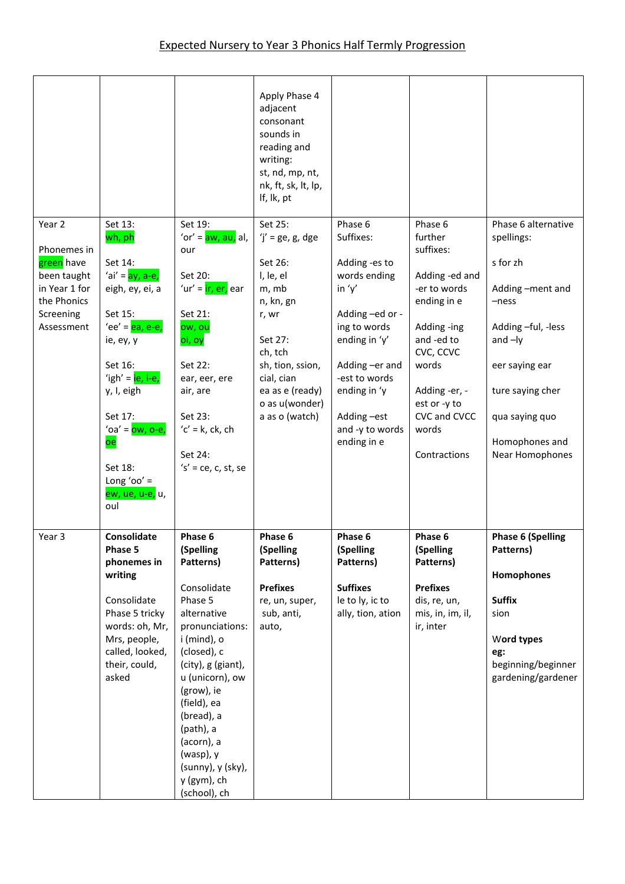|                                                                                                                          |                                                                                                                                                                                                                                                                   |                                                                                                                                                                                                                                                                                                                | Apply Phase 4<br>adjacent<br>consonant<br>sounds in<br>reading and<br>writing:<br>st, nd, mp, nt,<br>nk, ft, sk, lt, lp,<br>If, lk, pt                                                              |                                                                                                                                                                                                                         |                                                                                                                                                                                                               |                                                                                                                                                                                                             |
|--------------------------------------------------------------------------------------------------------------------------|-------------------------------------------------------------------------------------------------------------------------------------------------------------------------------------------------------------------------------------------------------------------|----------------------------------------------------------------------------------------------------------------------------------------------------------------------------------------------------------------------------------------------------------------------------------------------------------------|-----------------------------------------------------------------------------------------------------------------------------------------------------------------------------------------------------|-------------------------------------------------------------------------------------------------------------------------------------------------------------------------------------------------------------------------|---------------------------------------------------------------------------------------------------------------------------------------------------------------------------------------------------------------|-------------------------------------------------------------------------------------------------------------------------------------------------------------------------------------------------------------|
| Year <sub>2</sub><br>Phonemes in<br>green have<br>been taught<br>in Year 1 for<br>the Phonics<br>Screening<br>Assessment | Set 13:<br>wh, ph<br>Set 14:<br>'ai' = ay, a-e,<br>eigh, ey, ei, a<br>Set 15:<br>'ee' = <b>ea</b> , e-e,<br>ie, ey, y<br>Set 16:<br>'igh' = $ie, i-e$ ,<br>y, I, eigh<br>Set 17:<br>'oa' = $ow, o-e,$<br>oe<br>Set 18:<br>Long 'oo' $=$<br>ew, ue, u-e, u,<br>oul | Set 19:<br>'or' = aw, au, al,<br>our<br>Set 20:<br>'ur' = ir, er, ear<br>Set 21:<br>ow, ou<br>oi, oy<br>Set 22:<br>ear, eer, ere<br>air, are<br>Set 23:<br>$'c' = k$ , ck, ch<br>Set 24:<br>$'s' = ce, c, st, se$                                                                                              | Set 25:<br>$'j'$ = ge, g, dge<br>Set 26:<br>I, le, el<br>m, mb<br>n, kn, gn<br>r, wr<br>Set 27:<br>ch, tch<br>sh, tion, ssion,<br>cial, cian<br>ea as e (ready)<br>o as u(wonder)<br>a as o (watch) | Phase 6<br>Suffixes:<br>Adding -es to<br>words ending<br>in $'y'$<br>Adding-ed or -<br>ing to words<br>ending in 'y'<br>Adding -er and<br>-est to words<br>ending in 'y<br>Adding-est<br>and -y to words<br>ending in e | Phase 6<br>further<br>suffixes:<br>Adding -ed and<br>-er to words<br>ending in e<br>Adding -ing<br>and -ed to<br>CVC, CCVC<br>words<br>Adding -er, -<br>est or -y to<br>CVC and CVCC<br>words<br>Contractions | Phase 6 alternative<br>spellings:<br>s for zh<br>Adding-ment and<br>$-ness$<br>Adding -ful, -less<br>and $-ly$<br>eer saying ear<br>ture saying cher<br>qua saying quo<br>Homophones and<br>Near Homophones |
| Year 3                                                                                                                   | Consolidate<br>Phase 5<br>phonemes in<br>writing<br>Consolidate<br>Phase 5 tricky<br>words: oh, Mr,<br>Mrs, people,<br>called, looked,<br>their, could,<br>asked                                                                                                  | Phase 6<br>(Spelling<br>Patterns)<br>Consolidate<br>Phase 5<br>alternative<br>pronunciations:<br>i (mind), o<br>(closed), c<br>(city), g (giant),<br>u (unicorn), ow<br>(grow), ie<br>(field), ea<br>(bread), a<br>(path), a<br>(acorn), a<br>$(wasp)$ , y<br>(sunny), y (sky),<br>y (gym), ch<br>(school), ch | Phase 6<br>(Spelling<br>Patterns)<br><b>Prefixes</b><br>re, un, super,<br>sub, anti,<br>auto,                                                                                                       | Phase 6<br>(Spelling<br>Patterns)<br><b>Suffixes</b><br>le to ly, ic to<br>ally, tion, ation                                                                                                                            | Phase 6<br>(Spelling<br>Patterns)<br><b>Prefixes</b><br>dis, re, un,<br>mis, in, im, il,<br>ir, inter                                                                                                         | <b>Phase 6 (Spelling</b><br>Patterns)<br>Homophones<br><b>Suffix</b><br>sion<br>Word types<br>eg:<br>beginning/beginner<br>gardening/gardener                                                               |